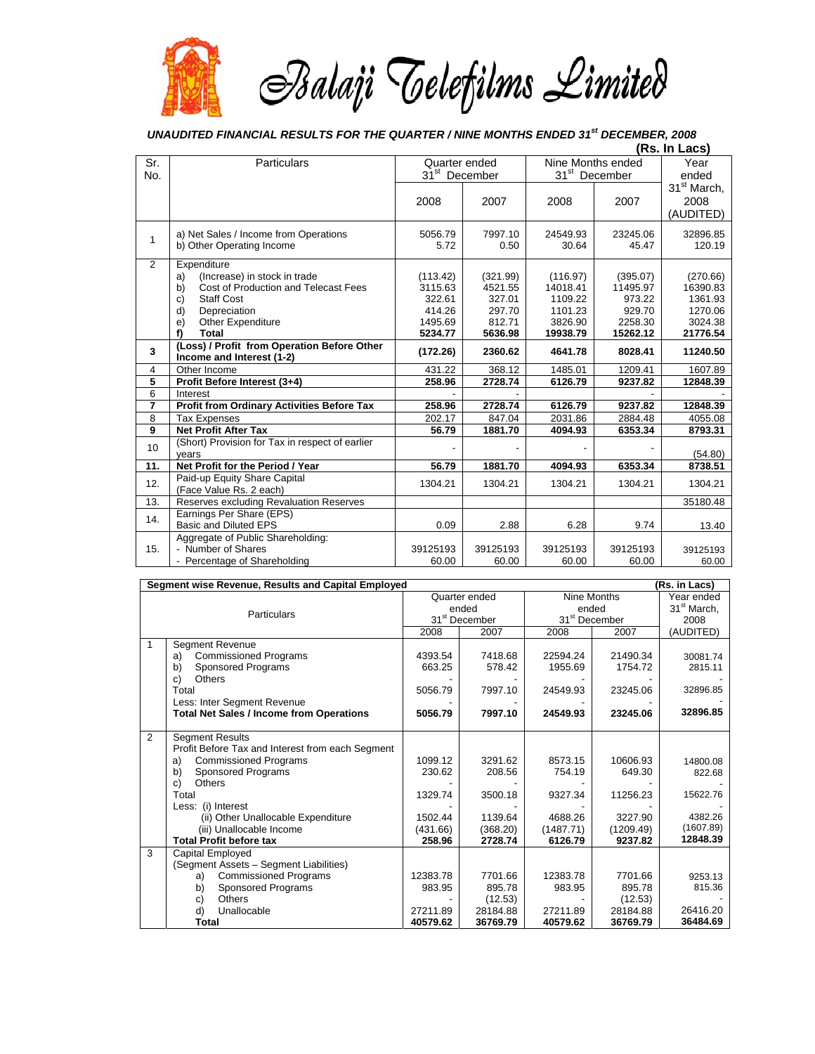

## *UNAUDITED FINANCIAL RESULTS FOR THE QUARTER / NINE MONTHS ENDED 31st DECEMBER, 2008*

|                |                                                                          |                           | (Rs. In Lacs) |                           |          |                         |
|----------------|--------------------------------------------------------------------------|---------------------------|---------------|---------------------------|----------|-------------------------|
| Sr.            | Particulars                                                              | Quarter ended             |               | Nine Months ended         |          | Year                    |
| No.            |                                                                          | 31 <sup>st</sup> December |               | 31 <sup>st</sup> December |          | ended                   |
|                |                                                                          |                           |               |                           |          | 31 <sup>st</sup> March, |
|                |                                                                          | 2008                      | 2007          | 2008                      | 2007     | 2008                    |
|                |                                                                          |                           |               |                           |          | (AUDITED)               |
|                | a) Net Sales / Income from Operations                                    | 5056.79                   | 7997.10       | 24549.93                  | 23245.06 | 32896.85                |
| 1              | b) Other Operating Income                                                | 5.72                      | 0.50          | 30.64                     | 45.47    | 120.19                  |
| $\overline{2}$ | Expenditure                                                              |                           |               |                           |          |                         |
|                | (Increase) in stock in trade<br>a)                                       | (113.42)                  | (321.99)      | (116.97)                  | (395.07) | (270.66)                |
|                | Cost of Production and Telecast Fees<br>b)                               | 3115.63                   | 4521.55       | 14018.41                  | 11495.97 | 16390.83                |
|                | <b>Staff Cost</b><br>c)                                                  | 322.61                    | 327.01        | 1109.22                   | 973.22   | 1361.93                 |
|                | d)<br>Depreciation                                                       | 414.26                    | 297.70        | 1101.23                   | 929.70   | 1270.06                 |
|                | Other Expenditure<br>e)                                                  | 1495.69                   | 812.71        | 3826.90                   | 2258.30  | 3024.38                 |
|                | f)<br>Total                                                              | 5234.77                   | 5636.98       | 19938.79                  | 15262.12 | 21776.54                |
| 3              | (Loss) / Profit from Operation Before Other<br>Income and Interest (1-2) | (172.26)                  | 2360.62       | 4641.78                   | 8028.41  | 11240.50                |
| 4              | Other Income                                                             | 431.22                    | 368.12        | 1485.01                   | 1209.41  | 1607.89                 |
| 5              | Profit Before Interest (3+4)                                             | 258.96                    | 2728.74       | 6126.79                   | 9237.82  | 12848.39                |
| 6              | Interest                                                                 |                           |               |                           |          |                         |
| 7              | <b>Profit from Ordinary Activities Before Tax</b>                        | 258.96                    | 2728.74       | 6126.79                   | 9237.82  | 12848.39                |
| 8              | <b>Tax Expenses</b>                                                      | 202.17                    | 847.04        | 2031.86                   | 2884.48  | 4055.08                 |
| 9              | <b>Net Profit After Tax</b>                                              | 56.79                     | 1881.70       | 4094.93                   | 6353.34  | 8793.31                 |
| 10             | (Short) Provision for Tax in respect of earlier                          |                           |               |                           |          |                         |
|                | years<br>Net Profit for the Period / Year                                |                           |               |                           |          | (54.80)                 |
| 11.            | Paid-up Equity Share Capital                                             | 56.79                     | 1881.70       | 4094.93                   | 6353.34  | 8738.51                 |
| 12.            | (Face Value Rs. 2 each)                                                  | 1304.21                   | 1304.21       | 1304.21                   | 1304.21  | 1304.21                 |
| 13.            | Reserves excluding Revaluation Reserves                                  |                           |               |                           |          | 35180.48                |
| 14.            | Earnings Per Share (EPS)                                                 |                           |               |                           |          |                         |
|                | <b>Basic and Diluted EPS</b>                                             | 0.09                      | 2.88          | 6.28                      | 9.74     | 13.40                   |
|                | Aggregate of Public Shareholding:                                        |                           |               |                           |          |                         |
| 15.            | - Number of Shares                                                       | 39125193                  | 39125193      | 39125193                  | 39125193 | 39125193                |
|                | - Percentage of Shareholding                                             | 60.00                     | 60.00         | 60.00                     | 60.00    | 60.00                   |

| Segment wise Revenue, Results and Capital Employed<br>(Rs. in Lacs) |                                                  |                           |          |                           |           |                         |  |  |
|---------------------------------------------------------------------|--------------------------------------------------|---------------------------|----------|---------------------------|-----------|-------------------------|--|--|
| Particulars                                                         |                                                  | Quarter ended             |          | Nine Months               |           | Year ended              |  |  |
|                                                                     |                                                  | ended                     |          | ended                     |           | 31 <sup>st</sup> March, |  |  |
|                                                                     |                                                  | 31 <sup>st</sup> December |          | 31 <sup>st</sup> December |           | 2008                    |  |  |
|                                                                     |                                                  | 2008                      | 2007     | 2008                      | 2007      | (AUDITED)               |  |  |
| $\mathbf 1$                                                         | Segment Revenue                                  |                           |          |                           |           |                         |  |  |
|                                                                     | <b>Commissioned Programs</b><br>a)               | 4393.54                   | 7418.68  | 22594.24                  | 21490.34  | 30081.74                |  |  |
|                                                                     | <b>Sponsored Programs</b><br>b)                  | 663.25                    | 578.42   | 1955.69                   | 1754.72   | 2815.11                 |  |  |
|                                                                     | <b>Others</b><br>c)                              |                           |          |                           |           |                         |  |  |
|                                                                     | Total                                            | 5056.79                   | 7997.10  | 24549.93                  | 23245.06  | 32896.85                |  |  |
|                                                                     | Less: Inter Segment Revenue                      |                           |          |                           |           |                         |  |  |
|                                                                     | <b>Total Net Sales / Income from Operations</b>  | 5056.79                   | 7997.10  | 24549.93                  | 23245.06  | 32896.85                |  |  |
|                                                                     |                                                  |                           |          |                           |           |                         |  |  |
| $\overline{2}$                                                      | <b>Segment Results</b>                           |                           |          |                           |           |                         |  |  |
|                                                                     | Profit Before Tax and Interest from each Segment |                           |          |                           |           |                         |  |  |
|                                                                     | <b>Commissioned Programs</b><br>a)               | 1099.12                   | 3291.62  | 8573.15                   | 10606.93  | 14800.08                |  |  |
|                                                                     | Sponsored Programs<br>b)                         | 230.62                    | 208.56   | 754.19                    | 649.30    | 822.68                  |  |  |
|                                                                     | <b>Others</b><br>c)                              |                           |          |                           |           |                         |  |  |
|                                                                     | Total                                            | 1329.74                   | 3500.18  | 9327.34                   | 11256.23  | 15622.76                |  |  |
|                                                                     | Less: (i) Interest                               |                           |          |                           |           |                         |  |  |
|                                                                     | (ii) Other Unallocable Expenditure               | 1502.44                   | 1139.64  | 4688.26                   | 3227.90   | 4382.26                 |  |  |
|                                                                     | (iii) Unallocable Income                         | (431.66)                  | (368.20) | (1487.71)                 | (1209.49) | (1607.89)               |  |  |
|                                                                     | <b>Total Profit before tax</b>                   | 258.96                    | 2728.74  | 6126.79                   | 9237.82   | 12848.39                |  |  |
| 3                                                                   | Capital Employed                                 |                           |          |                           |           |                         |  |  |
|                                                                     | (Segment Assets - Segment Liabilities)           |                           |          |                           |           |                         |  |  |
|                                                                     | <b>Commissioned Programs</b><br>a)               | 12383.78                  | 7701.66  | 12383.78                  | 7701.66   | 9253.13                 |  |  |
|                                                                     | b)<br>Sponsored Programs                         | 983.95                    | 895.78   | 983.95                    | 895.78    | 815.36                  |  |  |
|                                                                     | <b>Others</b><br>c)                              |                           | (12.53)  |                           | (12.53)   |                         |  |  |
|                                                                     | Unallocable<br>d)                                | 27211.89                  | 28184.88 | 27211.89                  | 28184.88  | 26416.20                |  |  |
|                                                                     | <b>Total</b>                                     | 40579.62                  | 36769.79 | 40579.62                  | 36769.79  | 36484.69                |  |  |